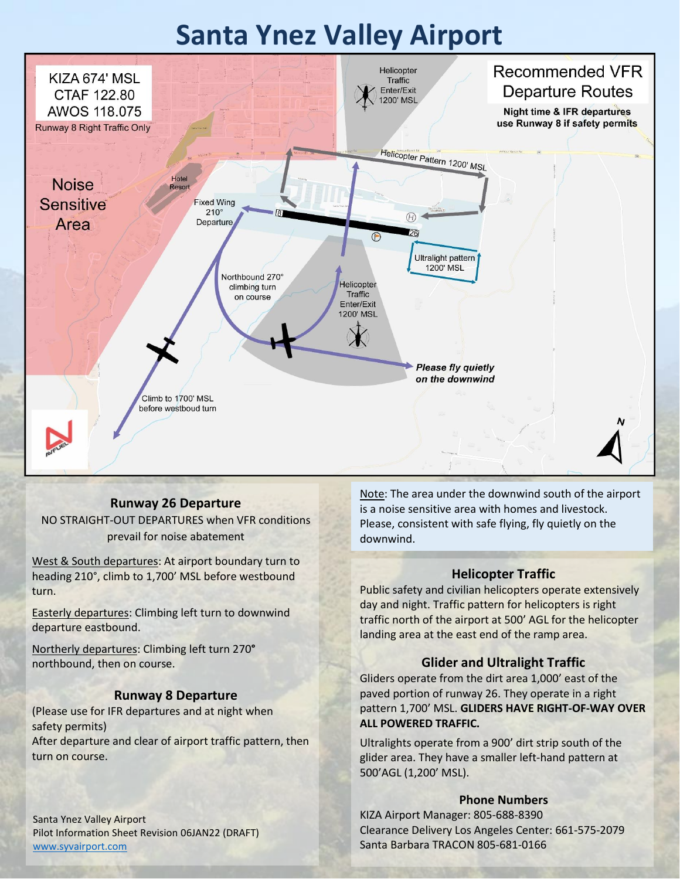# **Santa Ynez Valley Airport**



### **Runway 26 Departure**

NO STRAIGHT-OUT DEPARTURES when VFR conditions prevail for noise abatement

West & South departures: At airport boundary turn to heading 210°, climb to 1,700' MSL before westbound turn.

Easterly departures: Climbing left turn to downwind departure eastbound.

Northerly departures: Climbing left turn 270**°**  northbound, then on course.

### **Runway 8 Departure**

(Please use for IFR departures and at night when safety permits) After departure and clear of airport traffic pattern, then turn on course.

Santa Ynez Valley Airport Pilot Information Sheet Revision 06JAN22 (DRAFT) [www.syvairport.com](http://www.syvairport.com/)

Note: The area under the downwind south of the airport is a noise sensitive area with homes and livestock. Please, consistent with safe flying, fly quietly on the downwind.

### **Helicopter Traffic**

Public safety and civilian helicopters operate extensively day and night. Traffic pattern for helicopters is right traffic north of the airport at 500' AGL for the helicopter landing area at the east end of the ramp area.

### **Glider and Ultralight Traffic**

Gliders operate from the dirt area 1,000' east of the paved portion of runway 26. They operate in a right pattern 1,700' MSL. **GLIDERS HAVE RIGHT-OF-WAY OVER ALL POWERED TRAFFIC.**

Ultralights operate from a 900' dirt strip south of the glider area. They have a smaller left-hand pattern at 500'AGL (1,200' MSL).

#### **Phone Numbers**

KIZA Airport Manager: 805-688-8390 Clearance Delivery Los Angeles Center: 661-575-2079 Santa Barbara TRACON 805-681-0166